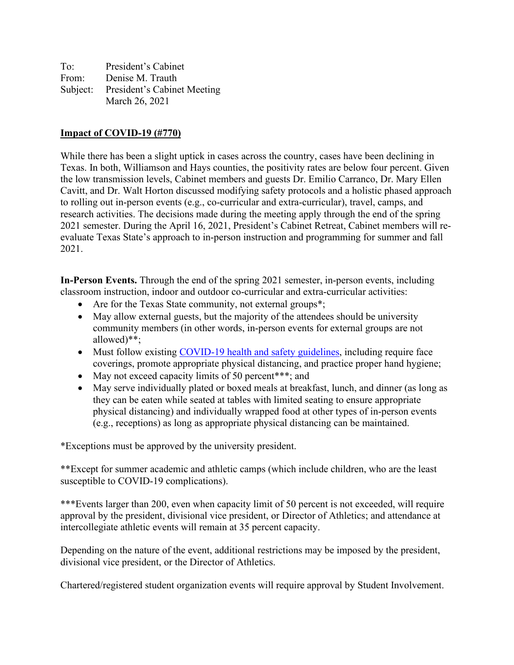To: President's Cabinet From: Denise M. Trauth Subject: President's Cabinet Meeting March 26, 2021

## **Impact of COVID-19 (#770)**

While there has been a slight uptick in cases across the country, cases have been declining in Texas. In both, Williamson and Hays counties, the positivity rates are below four percent. Given the low transmission levels, Cabinet members and guests Dr. Emilio Carranco, Dr. Mary Ellen Cavitt, and Dr. Walt Horton discussed modifying safety protocols and a holistic phased approach to rolling out in-person events (e.g., co-curricular and extra-curricular), travel, camps, and research activities. The decisions made during the meeting apply through the end of the spring 2021 semester. During the April 16, 2021, President's Cabinet Retreat, Cabinet members will reevaluate Texas State's approach to in-person instruction and programming for summer and fall 2021.

**In-Person Events.** Through the end of the spring 2021 semester, in-person events, including classroom instruction, indoor and outdoor co-curricular and extra-curricular activities:

- Are for the Texas State community, not external groups<sup>\*</sup>;
- May allow external guests, but the majority of the attendees should be university community members (in other words, in-person events for external groups are not allowed)\*\*;
- Must follow existing [COVID-19 health and safety guidelines,](https://www.txstate.edu/coronavirus/road-map/health-and-safety-measures.html) including require face coverings, promote appropriate physical distancing, and practice proper hand hygiene;
- May not exceed capacity limits of 50 percent\*\*\*; and
- May serve individually plated or boxed meals at breakfast, lunch, and dinner (as long as they can be eaten while seated at tables with limited seating to ensure appropriate physical distancing) and individually wrapped food at other types of in-person events (e.g., receptions) as long as appropriate physical distancing can be maintained.

\*Exceptions must be approved by the university president.

\*\*Except for summer academic and athletic camps (which include children, who are the least susceptible to COVID-19 complications).

\*\*\*Events larger than 200, even when capacity limit of 50 percent is not exceeded, will require approval by the president, divisional vice president, or Director of Athletics; and attendance at intercollegiate athletic events will remain at 35 percent capacity.

Depending on the nature of the event, additional restrictions may be imposed by the president, divisional vice president, or the Director of Athletics.

Chartered/registered student organization events will require approval by Student Involvement.